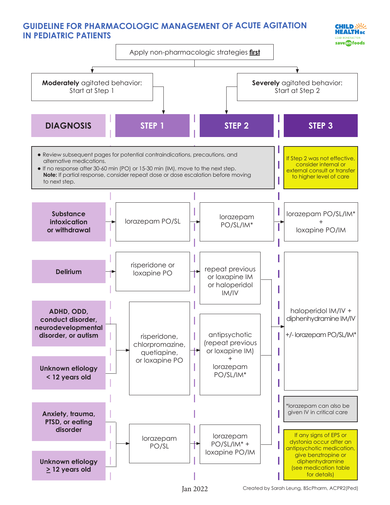## **GUIDELINE FOR PHARMACOLOGIC MANAGEMENT OF ACUTE AGITATION IN PEDIATRIC PATIENTS**





Tan 2022 Created by Sarah Leung, BScPharm, ACPR2(Ped)